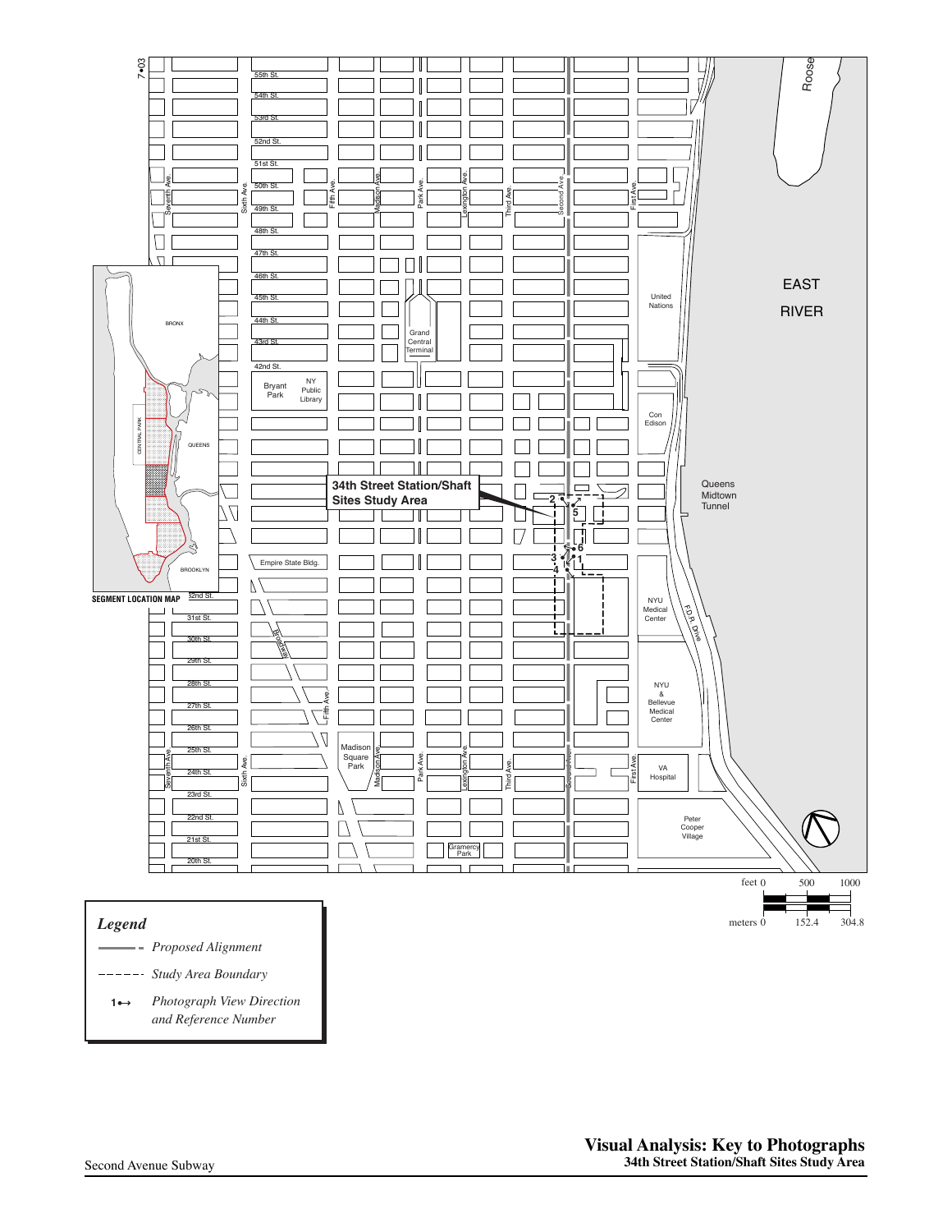

## *Legend*

- **Proposed Alignment**
- Study Area Boundary
- **Photograph View Direction** *and Reference Number* **1**

meters 0 152.4 304.8